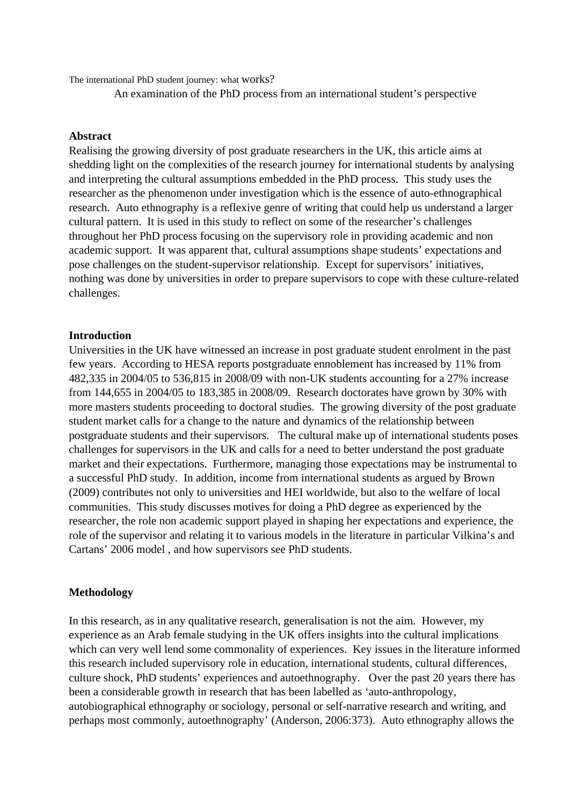The international PhD student journey: what works?

An examination of the PhD process from an international student's perspective

#### **Abstract**

Realising the growing diversity of post graduate researchers in the UK, this article aims at shedding light on the complexities of the research journey for international students by analysing and interpreting the cultural assumptions embedded in the PhD process. This study uses the researcher as the phenomenon under investigation which is the essence of auto-ethnographical research. Auto ethnography is a reflexive genre of writing that could help us understand a larger cultural pattern. It is used in this study to reflect on some of the researcher's challenges throughout her PhD process focusing on the supervisory role in providing academic and non academic support. It was apparent that, cultural assumptions shape students' expectations and pose challenges on the student-supervisor relationship. Except for supervisors' initiatives, nothing was done by universities in order to prepare supervisors to cope with these culture-related challenges.

## **Introduction**

Universities in the UK have witnessed an increase in post graduate student enrolment in the past few years. According to HESA reports postgraduate ennoblement has increased by 11% from 482,335 in 2004/05 to 536,815 in 2008/09 with non-UK students accounting for a 27% increase from 144,655 in 2004/05 to 183,385 in 2008/09. Research doctorates have grown by 30% with more masters students proceeding to doctoral studies. The growing diversity of the post graduate student market calls for a change to the nature and dynamics of the relationship between postgraduate students and their supervisors. The cultural make up of international students poses challenges for supervisors in the UK and calls for a need to better understand the post graduate market and their expectations. Furthermore, managing those expectations may be instrumental to a successful PhD study. In addition, income from international students as argued by Brown (2009) contributes not only to universities and HEI worldwide, but also to the welfare of local communities. This study discusses motives for doing a PhD degree as experienced by the researcher, the role non academic support played in shaping her expectations and experience, the role of the supervisor and relating it to various models in the literature in particular Vilkina's and Cartans' 2006 model , and how supervisors see PhD students.

## **Methodology**

In this research, as in any qualitative research, generalisation is not the aim. However, my experience as an Arab female studying in the UK offers insights into the cultural implications which can very well lend some commonality of experiences. Key issues in the literature informed this research included supervisory role in education, international students, cultural differences, culture shock, PhD students' experiences and autoethnography. Over the past 20 years there has been a considerable growth in research that has been labelled as 'auto-anthropology, autobiographical ethnography or sociology, personal or self-narrative research and writing, and perhaps most commonly, autoethnography' (Anderson, 2006:373). Auto ethnography allows the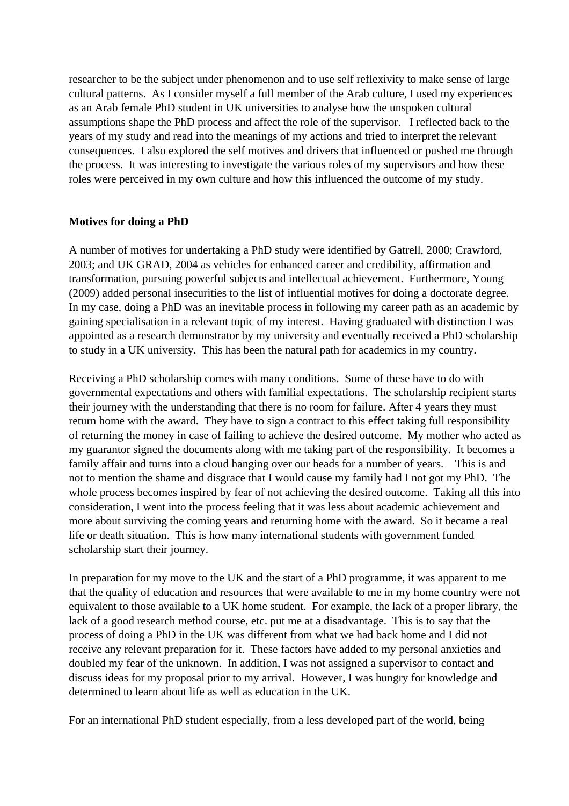researcher to be the subject under phenomenon and to use self reflexivity to make sense of large cultural patterns. As I consider myself a full member of the Arab culture, I used my experiences as an Arab female PhD student in UK universities to analyse how the unspoken cultural assumptions shape the PhD process and affect the role of the supervisor. I reflected back to the years of my study and read into the meanings of my actions and tried to interpret the relevant consequences. I also explored the self motives and drivers that influenced or pushed me through the process. It was interesting to investigate the various roles of my supervisors and how these roles were perceived in my own culture and how this influenced the outcome of my study.

# **Motives for doing a PhD**

A number of motives for undertaking a PhD study were identified by Gatrell, 2000; Crawford, 2003; and UK GRAD, 2004 as vehicles for enhanced career and credibility, affirmation and transformation, pursuing powerful subjects and intellectual achievement. Furthermore, Young (2009) added personal insecurities to the list of influential motives for doing a doctorate degree. In my case, doing a PhD was an inevitable process in following my career path as an academic by gaining specialisation in a relevant topic of my interest. Having graduated with distinction I was appointed as a research demonstrator by my university and eventually received a PhD scholarship to study in a UK university. This has been the natural path for academics in my country.

Receiving a PhD scholarship comes with many conditions. Some of these have to do with governmental expectations and others with familial expectations. The scholarship recipient starts their journey with the understanding that there is no room for failure. After 4 years they must return home with the award. They have to sign a contract to this effect taking full responsibility of returning the money in case of failing to achieve the desired outcome. My mother who acted as my guarantor signed the documents along with me taking part of the responsibility. It becomes a family affair and turns into a cloud hanging over our heads for a number of years. This is and not to mention the shame and disgrace that I would cause my family had I not got my PhD. The whole process becomes inspired by fear of not achieving the desired outcome. Taking all this into consideration, I went into the process feeling that it was less about academic achievement and more about surviving the coming years and returning home with the award. So it became a real life or death situation. This is how many international students with government funded scholarship start their journey.

In preparation for my move to the UK and the start of a PhD programme, it was apparent to me that the quality of education and resources that were available to me in my home country were not equivalent to those available to a UK home student. For example, the lack of a proper library, the lack of a good research method course, etc. put me at a disadvantage. This is to say that the process of doing a PhD in the UK was different from what we had back home and I did not receive any relevant preparation for it. These factors have added to my personal anxieties and doubled my fear of the unknown. In addition, I was not assigned a supervisor to contact and discuss ideas for my proposal prior to my arrival. However, I was hungry for knowledge and determined to learn about life as well as education in the UK.

For an international PhD student especially, from a less developed part of the world, being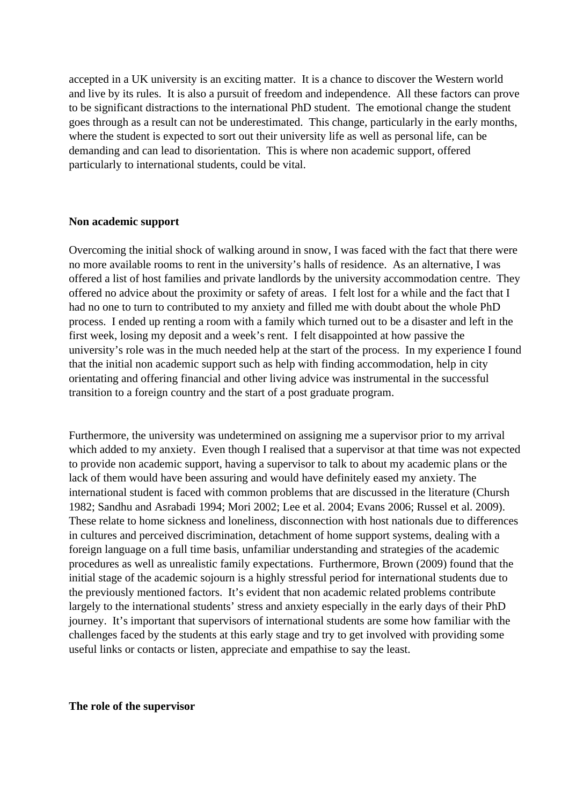accepted in a UK university is an exciting matter. It is a chance to discover the Western world and live by its rules. It is also a pursuit of freedom and independence. All these factors can prove to be significant distractions to the international PhD student. The emotional change the student goes through as a result can not be underestimated. This change, particularly in the early months, where the student is expected to sort out their university life as well as personal life, can be demanding and can lead to disorientation. This is where non academic support, offered particularly to international students, could be vital.

#### **Non academic support**

Overcoming the initial shock of walking around in snow, I was faced with the fact that there were no more available rooms to rent in the university's halls of residence. As an alternative, I was offered a list of host families and private landlords by the university accommodation centre. They offered no advice about the proximity or safety of areas. I felt lost for a while and the fact that I had no one to turn to contributed to my anxiety and filled me with doubt about the whole PhD process. I ended up renting a room with a family which turned out to be a disaster and left in the first week, losing my deposit and a week's rent. I felt disappointed at how passive the university's role was in the much needed help at the start of the process. In my experience I found that the initial non academic support such as help with finding accommodation, help in city orientating and offering financial and other living advice was instrumental in the successful transition to a foreign country and the start of a post graduate program.

Furthermore, the university was undetermined on assigning me a supervisor prior to my arrival which added to my anxiety. Even though I realised that a supervisor at that time was not expected to provide non academic support, having a supervisor to talk to about my academic plans or the lack of them would have been assuring and would have definitely eased my anxiety. The international student is faced with common problems that are discussed in the literature (Chursh 1982; Sandhu and Asrabadi 1994; Mori 2002; Lee et al. 2004; Evans 2006; Russel et al. 2009). These relate to home sickness and loneliness, disconnection with host nationals due to differences in cultures and perceived discrimination, detachment of home support systems, dealing with a foreign language on a full time basis, unfamiliar understanding and strategies of the academic procedures as well as unrealistic family expectations. Furthermore, Brown (2009) found that the initial stage of the academic sojourn is a highly stressful period for international students due to the previously mentioned factors. It's evident that non academic related problems contribute largely to the international students' stress and anxiety especially in the early days of their PhD journey. It's important that supervisors of international students are some how familiar with the challenges faced by the students at this early stage and try to get involved with providing some useful links or contacts or listen, appreciate and empathise to say the least.

**The role of the supervisor**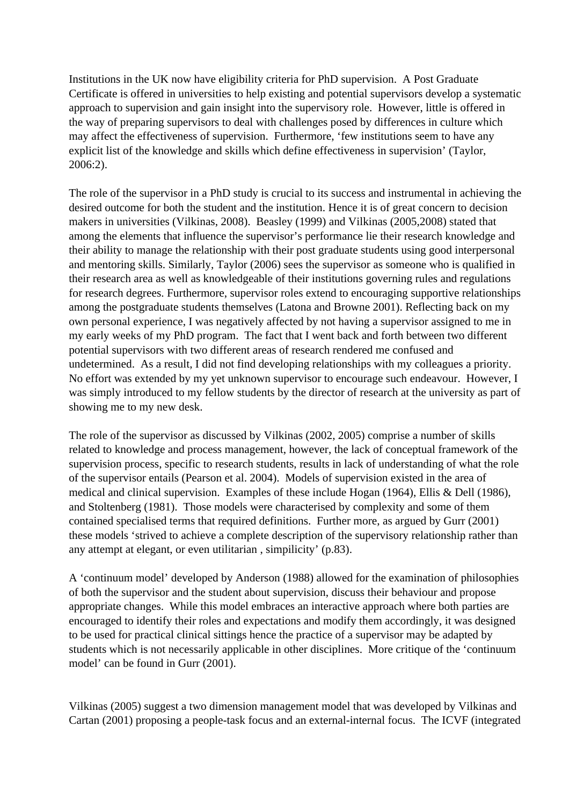Institutions in the UK now have eligibility criteria for PhD supervision. A Post Graduate Certificate is offered in universities to help existing and potential supervisors develop a systematic approach to supervision and gain insight into the supervisory role. However, little is offered in the way of preparing supervisors to deal with challenges posed by differences in culture which may affect the effectiveness of supervision. Furthermore, 'few institutions seem to have any explicit list of the knowledge and skills which define effectiveness in supervision' (Taylor, 2006:2).

The role of the supervisor in a PhD study is crucial to its success and instrumental in achieving the desired outcome for both the student and the institution. Hence it is of great concern to decision makers in universities (Vilkinas, 2008). Beasley (1999) and Vilkinas (2005,2008) stated that among the elements that influence the supervisor's performance lie their research knowledge and their ability to manage the relationship with their post graduate students using good interpersonal and mentoring skills. Similarly, Taylor (2006) sees the supervisor as someone who is qualified in their research area as well as knowledgeable of their institutions governing rules and regulations for research degrees. Furthermore, supervisor roles extend to encouraging supportive relationships among the postgraduate students themselves (Latona and Browne 2001). Reflecting back on my own personal experience, I was negatively affected by not having a supervisor assigned to me in my early weeks of my PhD program. The fact that I went back and forth between two different potential supervisors with two different areas of research rendered me confused and undetermined. As a result, I did not find developing relationships with my colleagues a priority. No effort was extended by my yet unknown supervisor to encourage such endeavour. However, I was simply introduced to my fellow students by the director of research at the university as part of showing me to my new desk.

The role of the supervisor as discussed by Vilkinas (2002, 2005) comprise a number of skills related to knowledge and process management, however, the lack of conceptual framework of the supervision process, specific to research students, results in lack of understanding of what the role of the supervisor entails (Pearson et al. 2004). Models of supervision existed in the area of medical and clinical supervision. Examples of these include Hogan (1964), Ellis & Dell (1986), and Stoltenberg (1981). Those models were characterised by complexity and some of them contained specialised terms that required definitions. Further more, as argued by Gurr (2001) these models 'strived to achieve a complete description of the supervisory relationship rather than any attempt at elegant, or even utilitarian , simpilicity' (p.83).

A 'continuum model' developed by Anderson (1988) allowed for the examination of philosophies of both the supervisor and the student about supervision, discuss their behaviour and propose appropriate changes. While this model embraces an interactive approach where both parties are encouraged to identify their roles and expectations and modify them accordingly, it was designed to be used for practical clinical sittings hence the practice of a supervisor may be adapted by students which is not necessarily applicable in other disciplines. More critique of the 'continuum model' can be found in Gurr (2001).

Vilkinas (2005) suggest a two dimension management model that was developed by Vilkinas and Cartan (2001) proposing a people-task focus and an external-internal focus. The ICVF (integrated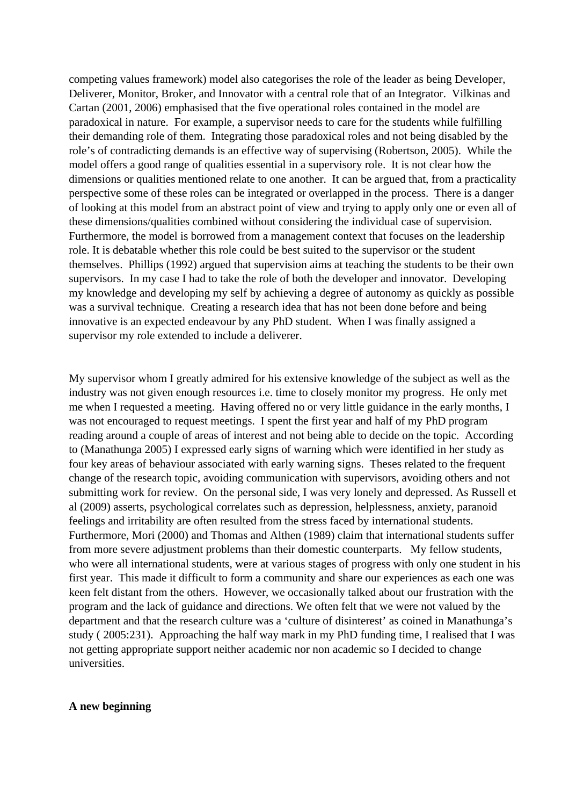competing values framework) model also categorises the role of the leader as being Developer, Deliverer, Monitor, Broker, and Innovator with a central role that of an Integrator. Vilkinas and Cartan (2001, 2006) emphasised that the five operational roles contained in the model are paradoxical in nature. For example, a supervisor needs to care for the students while fulfilling their demanding role of them. Integrating those paradoxical roles and not being disabled by the role's of contradicting demands is an effective way of supervising (Robertson, 2005). While the model offers a good range of qualities essential in a supervisory role. It is not clear how the dimensions or qualities mentioned relate to one another. It can be argued that, from a practicality perspective some of these roles can be integrated or overlapped in the process. There is a danger of looking at this model from an abstract point of view and trying to apply only one or even all of these dimensions/qualities combined without considering the individual case of supervision. Furthermore, the model is borrowed from a management context that focuses on the leadership role. It is debatable whether this role could be best suited to the supervisor or the student themselves. Phillips (1992) argued that supervision aims at teaching the students to be their own supervisors. In my case I had to take the role of both the developer and innovator. Developing my knowledge and developing my self by achieving a degree of autonomy as quickly as possible was a survival technique. Creating a research idea that has not been done before and being innovative is an expected endeavour by any PhD student. When I was finally assigned a supervisor my role extended to include a deliverer.

My supervisor whom I greatly admired for his extensive knowledge of the subject as well as the industry was not given enough resources i.e. time to closely monitor my progress. He only met me when I requested a meeting. Having offered no or very little guidance in the early months, I was not encouraged to request meetings. I spent the first year and half of my PhD program reading around a couple of areas of interest and not being able to decide on the topic. According to (Manathunga 2005) I expressed early signs of warning which were identified in her study as four key areas of behaviour associated with early warning signs. Theses related to the frequent change of the research topic, avoiding communication with supervisors, avoiding others and not submitting work for review. On the personal side, I was very lonely and depressed. As Russell et al (2009) asserts, psychological correlates such as depression, helplessness, anxiety, paranoid feelings and irritability are often resulted from the stress faced by international students. Furthermore, Mori (2000) and Thomas and Althen (1989) claim that international students suffer from more severe adjustment problems than their domestic counterparts. My fellow students, who were all international students, were at various stages of progress with only one student in his first year. This made it difficult to form a community and share our experiences as each one was keen felt distant from the others. However, we occasionally talked about our frustration with the program and the lack of guidance and directions. We often felt that we were not valued by the department and that the research culture was a 'culture of disinterest' as coined in Manathunga's study ( 2005:231). Approaching the half way mark in my PhD funding time, I realised that I was not getting appropriate support neither academic nor non academic so I decided to change universities.

#### **A new beginning**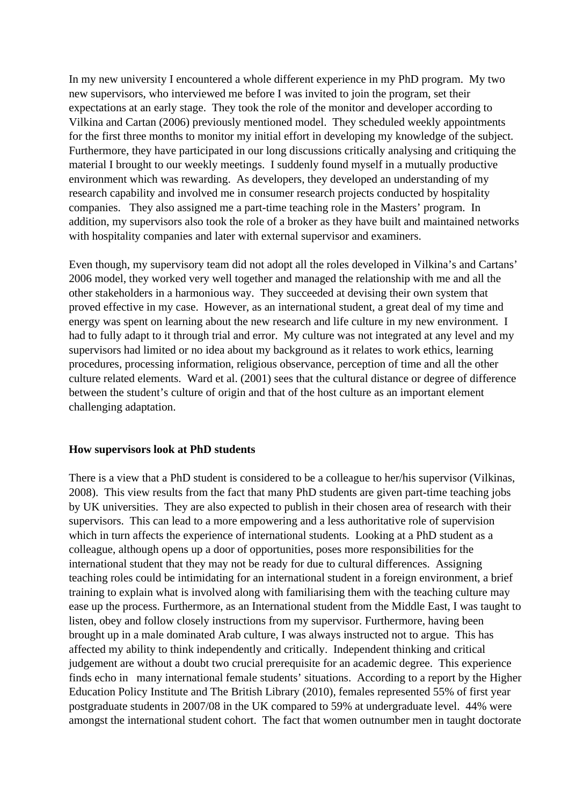In my new university I encountered a whole different experience in my PhD program. My two new supervisors, who interviewed me before I was invited to join the program, set their expectations at an early stage. They took the role of the monitor and developer according to Vilkina and Cartan (2006) previously mentioned model. They scheduled weekly appointments for the first three months to monitor my initial effort in developing my knowledge of the subject. Furthermore, they have participated in our long discussions critically analysing and critiquing the material I brought to our weekly meetings. I suddenly found myself in a mutually productive environment which was rewarding. As developers, they developed an understanding of my research capability and involved me in consumer research projects conducted by hospitality companies. They also assigned me a part-time teaching role in the Masters' program. In addition, my supervisors also took the role of a broker as they have built and maintained networks with hospitality companies and later with external supervisor and examiners.

Even though, my supervisory team did not adopt all the roles developed in Vilkina's and Cartans' 2006 model, they worked very well together and managed the relationship with me and all the other stakeholders in a harmonious way. They succeeded at devising their own system that proved effective in my case. However, as an international student, a great deal of my time and energy was spent on learning about the new research and life culture in my new environment. I had to fully adapt to it through trial and error. My culture was not integrated at any level and my supervisors had limited or no idea about my background as it relates to work ethics, learning procedures, processing information, religious observance, perception of time and all the other culture related elements. Ward et al. (2001) sees that the cultural distance or degree of difference between the student's culture of origin and that of the host culture as an important element challenging adaptation.

## **How supervisors look at PhD students**

There is a view that a PhD student is considered to be a colleague to her/his supervisor (Vilkinas, 2008). This view results from the fact that many PhD students are given part-time teaching jobs by UK universities. They are also expected to publish in their chosen area of research with their supervisors. This can lead to a more empowering and a less authoritative role of supervision which in turn affects the experience of international students. Looking at a PhD student as a colleague, although opens up a door of opportunities, poses more responsibilities for the international student that they may not be ready for due to cultural differences. Assigning teaching roles could be intimidating for an international student in a foreign environment, a brief training to explain what is involved along with familiarising them with the teaching culture may ease up the process. Furthermore, as an International student from the Middle East, I was taught to listen, obey and follow closely instructions from my supervisor. Furthermore, having been brought up in a male dominated Arab culture, I was always instructed not to argue. This has affected my ability to think independently and critically. Independent thinking and critical judgement are without a doubt two crucial prerequisite for an academic degree. This experience finds echo in many international female students' situations. According to a report by the Higher Education Policy Institute and The British Library (2010), females represented 55% of first year postgraduate students in 2007/08 in the UK compared to 59% at undergraduate level. 44% were amongst the international student cohort. The fact that women outnumber men in taught doctorate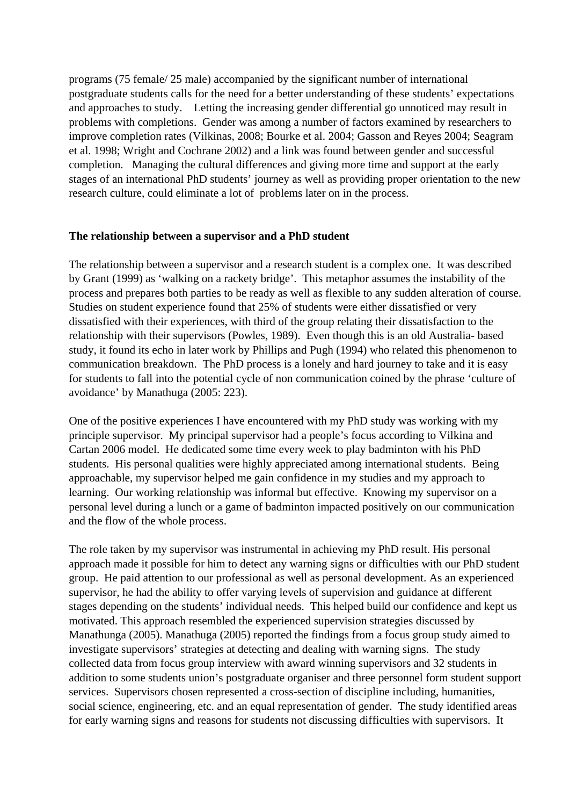programs (75 female/ 25 male) accompanied by the significant number of international postgraduate students calls for the need for a better understanding of these students' expectations and approaches to study. Letting the increasing gender differential go unnoticed may result in problems with completions. Gender was among a number of factors examined by researchers to improve completion rates (Vilkinas, 2008; Bourke et al. 2004; Gasson and Reyes 2004; Seagram et al. 1998; Wright and Cochrane 2002) and a link was found between gender and successful completion. Managing the cultural differences and giving more time and support at the early stages of an international PhD students' journey as well as providing proper orientation to the new research culture, could eliminate a lot of problems later on in the process.

# **The relationship between a supervisor and a PhD student**

The relationship between a supervisor and a research student is a complex one. It was described by Grant (1999) as 'walking on a rackety bridge'. This metaphor assumes the instability of the process and prepares both parties to be ready as well as flexible to any sudden alteration of course. Studies on student experience found that 25% of students were either dissatisfied or very dissatisfied with their experiences, with third of the group relating their dissatisfaction to the relationship with their supervisors (Powles, 1989). Even though this is an old Australia- based study, it found its echo in later work by Phillips and Pugh (1994) who related this phenomenon to communication breakdown. The PhD process is a lonely and hard journey to take and it is easy for students to fall into the potential cycle of non communication coined by the phrase 'culture of avoidance' by Manathuga (2005: 223).

One of the positive experiences I have encountered with my PhD study was working with my principle supervisor. My principal supervisor had a people's focus according to Vilkina and Cartan 2006 model. He dedicated some time every week to play badminton with his PhD students. His personal qualities were highly appreciated among international students. Being approachable, my supervisor helped me gain confidence in my studies and my approach to learning. Our working relationship was informal but effective. Knowing my supervisor on a personal level during a lunch or a game of badminton impacted positively on our communication and the flow of the whole process.

The role taken by my supervisor was instrumental in achieving my PhD result. His personal approach made it possible for him to detect any warning signs or difficulties with our PhD student group. He paid attention to our professional as well as personal development. As an experienced supervisor, he had the ability to offer varying levels of supervision and guidance at different stages depending on the students' individual needs. This helped build our confidence and kept us motivated. This approach resembled the experienced supervision strategies discussed by Manathunga (2005). Manathuga (2005) reported the findings from a focus group study aimed to investigate supervisors' strategies at detecting and dealing with warning signs. The study collected data from focus group interview with award winning supervisors and 32 students in addition to some students union's postgraduate organiser and three personnel form student support services. Supervisors chosen represented a cross-section of discipline including, humanities, social science, engineering, etc. and an equal representation of gender. The study identified areas for early warning signs and reasons for students not discussing difficulties with supervisors. It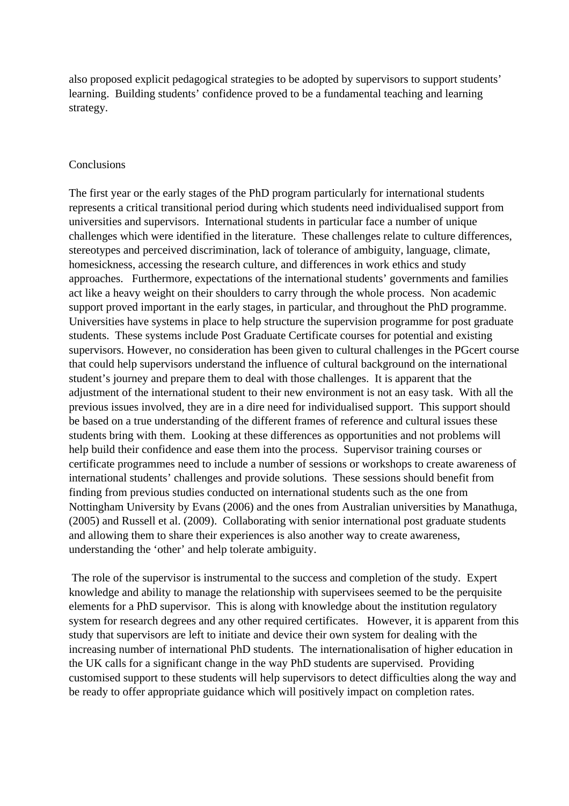also proposed explicit pedagogical strategies to be adopted by supervisors to support students' learning. Building students' confidence proved to be a fundamental teaching and learning strategy.

# Conclusions

The first year or the early stages of the PhD program particularly for international students represents a critical transitional period during which students need individualised support from universities and supervisors. International students in particular face a number of unique challenges which were identified in the literature. These challenges relate to culture differences, stereotypes and perceived discrimination, lack of tolerance of ambiguity, language, climate, homesickness, accessing the research culture, and differences in work ethics and study approaches. Furthermore, expectations of the international students' governments and families act like a heavy weight on their shoulders to carry through the whole process. Non academic support proved important in the early stages, in particular, and throughout the PhD programme. Universities have systems in place to help structure the supervision programme for post graduate students. These systems include Post Graduate Certificate courses for potential and existing supervisors. However, no consideration has been given to cultural challenges in the PGcert course that could help supervisors understand the influence of cultural background on the international student's journey and prepare them to deal with those challenges. It is apparent that the adjustment of the international student to their new environment is not an easy task. With all the previous issues involved, they are in a dire need for individualised support. This support should be based on a true understanding of the different frames of reference and cultural issues these students bring with them. Looking at these differences as opportunities and not problems will help build their confidence and ease them into the process. Supervisor training courses or certificate programmes need to include a number of sessions or workshops to create awareness of international students' challenges and provide solutions. These sessions should benefit from finding from previous studies conducted on international students such as the one from Nottingham University by Evans (2006) and the ones from Australian universities by Manathuga, (2005) and Russell et al. (2009). Collaborating with senior international post graduate students and allowing them to share their experiences is also another way to create awareness, understanding the 'other' and help tolerate ambiguity.

 The role of the supervisor is instrumental to the success and completion of the study. Expert knowledge and ability to manage the relationship with supervisees seemed to be the perquisite elements for a PhD supervisor. This is along with knowledge about the institution regulatory system for research degrees and any other required certificates. However, it is apparent from this study that supervisors are left to initiate and device their own system for dealing with the increasing number of international PhD students. The internationalisation of higher education in the UK calls for a significant change in the way PhD students are supervised. Providing customised support to these students will help supervisors to detect difficulties along the way and be ready to offer appropriate guidance which will positively impact on completion rates.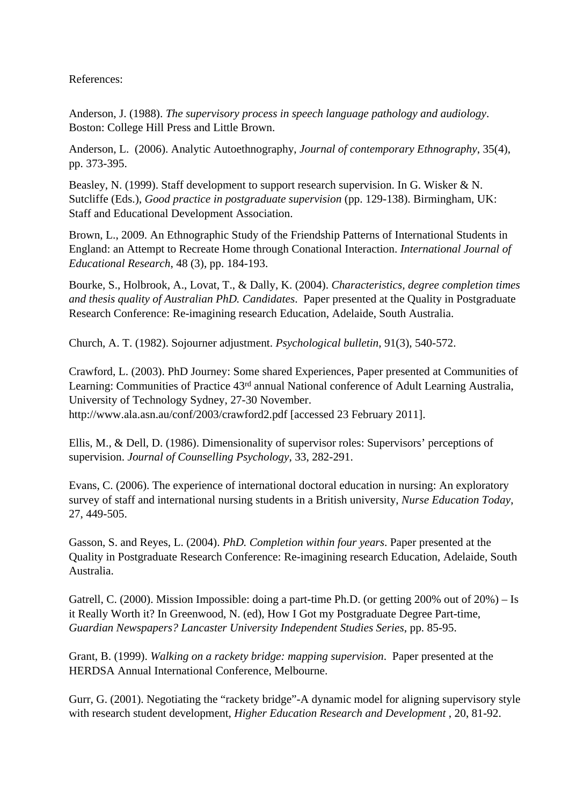References:

Anderson, J. (1988). *The supervisory process in speech language pathology and audiology*. Boston: College Hill Press and Little Brown.

Anderson, L. (2006). Analytic Autoethnography, *Journal of contemporary Ethnography*, 35(4), pp. 373-395.

Beasley, N. (1999). Staff development to support research supervision. In G. Wisker & N. Sutcliffe (Eds.), *Good practice in postgraduate supervision* (pp. 129-138). Birmingham, UK: Staff and Educational Development Association.

Brown, L., 2009. An Ethnographic Study of the Friendship Patterns of International Students in England: an Attempt to Recreate Home through Conational Interaction. *International Journal of Educational Research*, 48 (3), pp. 184-193.

Bourke, S., Holbrook, A., Lovat, T., & Dally, K. (2004). *Characteristics, degree completion times and thesis quality of Australian PhD. Candidates*. Paper presented at the Quality in Postgraduate Research Conference: Re-imagining research Education, Adelaide, South Australia.

Church, A. T. (1982). Sojourner adjustment. *Psychological bulletin*, 91(3), 540-572.

Crawford, L. (2003). PhD Journey: Some shared Experiences, Paper presented at Communities of Learning: Communities of Practice 43rd annual National conference of Adult Learning Australia, University of Technology Sydney, 27-30 November. http://www.ala.asn.au/conf/2003/crawford2.pdf [accessed 23 February 2011].

Ellis, M., & Dell, D. (1986). Dimensionality of supervisor roles: Supervisors' perceptions of supervision. *Journal of Counselling Psychology*, 33, 282-291.

Evans, C. (2006). The experience of international doctoral education in nursing: An exploratory survey of staff and international nursing students in a British university, *Nurse Education Today*, 27, 449-505.

Gasson, S. and Reyes, L. (2004). *PhD. Completion within four years*. Paper presented at the Quality in Postgraduate Research Conference: Re-imagining research Education, Adelaide, South Australia.

Gatrell, C. (2000). Mission Impossible: doing a part-time Ph.D. (or getting 200% out of 20%) – Is it Really Worth it? In Greenwood, N. (ed), How I Got my Postgraduate Degree Part-time, *Guardian Newspapers? Lancaster University Independent Studies Series*, pp. 85-95.

Grant, B. (1999). *Walking on a rackety bridge: mapping supervision*. Paper presented at the HERDSA Annual International Conference, Melbourne.

Gurr, G. (2001). Negotiating the "rackety bridge"-A dynamic model for aligning supervisory style with research student development, *Higher Education Research and Development* , 20, 81-92.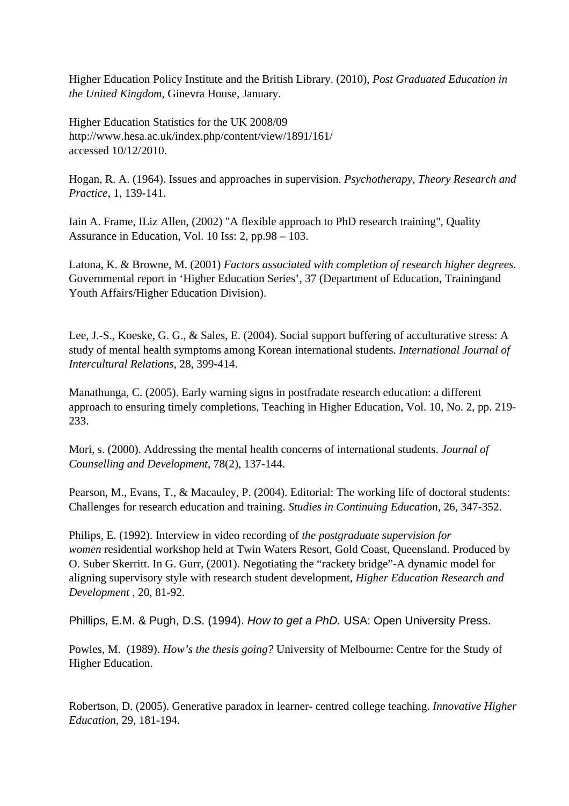Higher Education Policy Institute and the British Library. (2010), *Post Graduated Education in the United Kingdom*, Ginevra House, January.

Higher Education Statistics for the UK 2008/09 http://www.hesa.ac.uk/index.php/content/view/1891/161/ accessed 10/12/2010.

Hogan, R. A. (1964). Issues and approaches in supervision. *Psychotherapy, Theory Research and Practice*, 1, 139-141.

Iain A. Frame, ILiz Allen, (2002) "A flexible approach to PhD research training", Quality Assurance in Education, Vol. 10 Iss: 2, pp.98 – 103.

Latona, K. & Browne, M. (2001) *Factors associated with completion of research higher degrees*. Governmental report in 'Higher Education Series', 37 (Department of Education, Trainingand Youth Affairs/Higher Education Division).

Lee, J.-S., Koeske, G. G., & Sales, E. (2004). Social support buffering of acculturative stress: A study of mental health symptoms among Korean international students. *International Journal of Intercultural Relations*, 28, 399-414.

Manathunga, C. (2005). Early warning signs in postfradate research education: a different approach to ensuring timely completions, Teaching in Higher Education, Vol. 10, No. 2, pp. 219- 233.

Mori, s. (2000). Addressing the mental health concerns of international students. *Journal of Counselling and Development*, 78(2), 137-144.

Pearson, M., Evans, T., & Macauley, P. (2004). Editorial: The working life of doctoral students: Challenges for research education and training. *Studies in Continuing Education*, 26, 347-352.

Philips, E. (1992). Interview in video recording of *the postgraduate supervision for women* residential workshop held at Twin Waters Resort, Gold Coast, Queensland. Produced by O. Suber Skerritt. In G. Gurr, (2001). Negotiating the "rackety bridge"-A dynamic model for aligning supervisory style with research student development, *Higher Education Research and Development* , 20, 81-92.

Phillips, E.M. & Pugh, D.S. (1994). How to get a PhD. USA: Open University Press.

Powles, M. (1989). *How's the thesis going?* University of Melbourne: Centre for the Study of Higher Education.

Robertson, D. (2005). Generative paradox in learner- centred college teaching. *Innovative Higher Education*, 29, 181-194.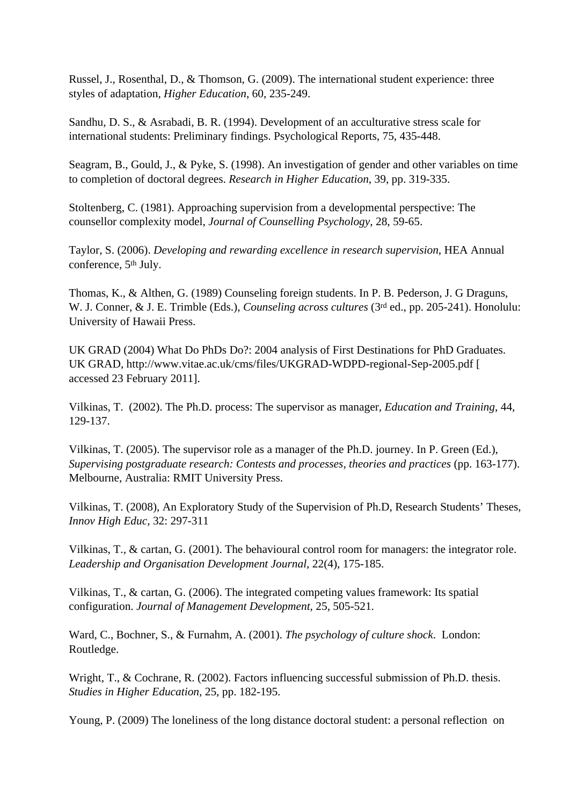Russel, J., Rosenthal, D., & Thomson, G. (2009). The international student experience: three styles of adaptation, *Higher Education*, 60, 235-249.

Sandhu, D. S., & Asrabadi, B. R. (1994). Development of an acculturative stress scale for international students: Preliminary findings. Psychological Reports, 75, 435-448.

Seagram, B., Gould, J., & Pyke, S. (1998). An investigation of gender and other variables on time to completion of doctoral degrees. *Research in Higher Education*, 39, pp. 319-335.

Stoltenberg, C. (1981). Approaching supervision from a developmental perspective: The counsellor complexity model, *Journal of Counselling Psychology*, 28, 59-65.

Taylor, S. (2006). *Developing and rewarding excellence in research supervision*, HEA Annual conference, 5th July.

Thomas, K., & Althen, G. (1989) Counseling foreign students. In P. B. Pederson, J. G Draguns, W. J. Conner, & J. E. Trimble (Eds.), *Counseling across cultures* (3rd ed., pp. 205-241). Honolulu: University of Hawaii Press.

UK GRAD (2004) What Do PhDs Do?: 2004 analysis of First Destinations for PhD Graduates. UK GRAD, http://www.vitae.ac.uk/cms/files/UKGRAD-WDPD-regional-Sep-2005.pdf [ accessed 23 February 2011].

Vilkinas, T. (2002). The Ph.D. process: The supervisor as manager, *Education and Training*, 44, 129-137.

Vilkinas, T. (2005). The supervisor role as a manager of the Ph.D. journey. In P. Green (Ed.), *Supervising postgraduate research: Contests and processes, theories and practices* (pp. 163-177). Melbourne, Australia: RMIT University Press.

Vilkinas, T. (2008), An Exploratory Study of the Supervision of Ph.D, Research Students' Theses, *Innov High Educ*, 32: 297-311

Vilkinas, T., & cartan, G. (2001). The behavioural control room for managers: the integrator role. *Leadership and Organisation Development Journal*, 22(4), 175-185.

Vilkinas, T., & cartan, G. (2006). The integrated competing values framework: Its spatial configuration. *Journal of Management Development*, 25, 505-521.

Ward, C., Bochner, S., & Furnahm, A. (2001). *The psychology of culture shock*. London: Routledge.

Wright, T., & Cochrane, R. (2002). Factors influencing successful submission of Ph.D. thesis. *Studies in Higher Education*, 25, pp. 182-195.

Young, P. (2009) The loneliness of the long distance doctoral student: a personal reflection on